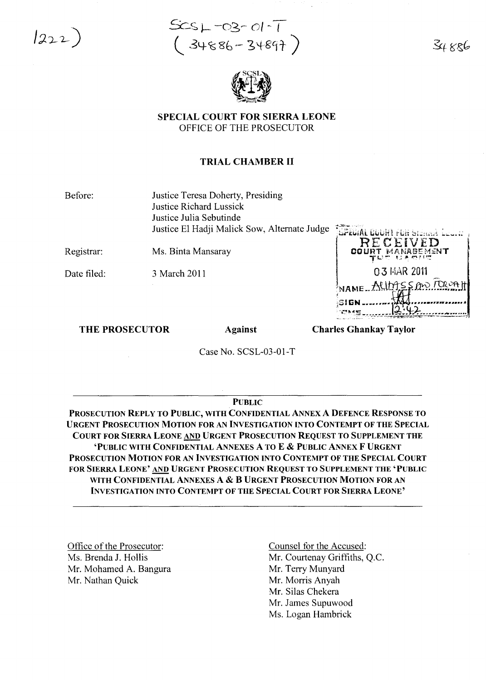$1222)$ 





SPECIAL COURT FOR SIERRA LEONE OFFICE OF THE PROSECUTOR

### TRIAL CHAMBER II

Before:

Justice Teresa Doherty, Presiding Justice Richard Lussick Justice Julia Sebutinde Justice El Hadji Malick Sow, Alternate Judge  $\frac{1}{\sqrt{2}}\frac{1}{\sqrt{2}}\frac{1}{\sqrt{2}}\frac{1}{\sqrt{2}}\frac{1}{\sqrt{2}}\frac{1}{\sqrt{2}}\frac{1}{\sqrt{2}}\frac{1}{\sqrt{2}}\frac{1}{\sqrt{2}}\frac{1}{\sqrt{2}}\frac{1}{\sqrt{2}}\frac{1}{\sqrt{2}}\frac{1}{\sqrt{2}}\frac{1}{\sqrt{2}}\frac{1}{\sqrt{2}}\frac{1}{\sqrt{2}}\frac{1}{\sqrt{2}}\frac{1}{$ 

Registrar: Ms. Binta Mansaray

Date filed: 3 March 2011

RECEIVED COURT MANABEMENT 03 MAR 2011  $ALIMSSMVTRS$ "SIGN **--\_."""1"** -, , j·.::·~ ..E\_•..••• \_- ~:~~r\_ '" . . - ···~-,··"-~··~\_ *..'..*t""'~s:::z:e: *.•*\_~'"*••*·~-~-~-·---,

#### THE PROSECUTOR Against

Charles Ghankay Taylor

Case No. SCSL-03-01-T

#### PUBLIC

PROSECUTION REPLY TO PUBLIC, WITH CONFIDENTIAL ANNEX A DEFENCE RESPONSE TO URGENT PROSECUTION MOTION FOR AN INVESTIGATION INTO CONTEMPT OF THE SPECIAL COURT FOR SIERRA LEONE AND URGENT PROSECUTION REQUEST TO SUPPLEMENT THE 'PUBLIC WITH CONFIDENTIAL ANNEXES A TO E & PUBLIC ANNEX F URGENT PROSECUTION MOTION FOR AN INVESTIGATION INTO CONTEMPT OF THE SPECIAL COURT FOR SIERRA LEONE' AND URGENT PROSECUTION REQUEST TO SUPPLEMENT THE 'PUBLIC WITH CONFIDENTIAL ANNEXES A & B URGENT PROSECUTION MOTION FOR AN INVESTIGATION INTO CONTEMPT OF THE SPECIAL COURT FOR SIERRA LEONE'

Office of the Prosecutor: Ms. Brenda J. Hollis Mr. Mohamed A. Bangura Mr. Nathan Quick

Counsel for the Accused: Mr. Courtenay Griffiths, Q.C. Mr. Terry Munyard Mr. Morris Anyah Mr. Silas Chekera Mr. James Supuwood Ms. Logan Hambrick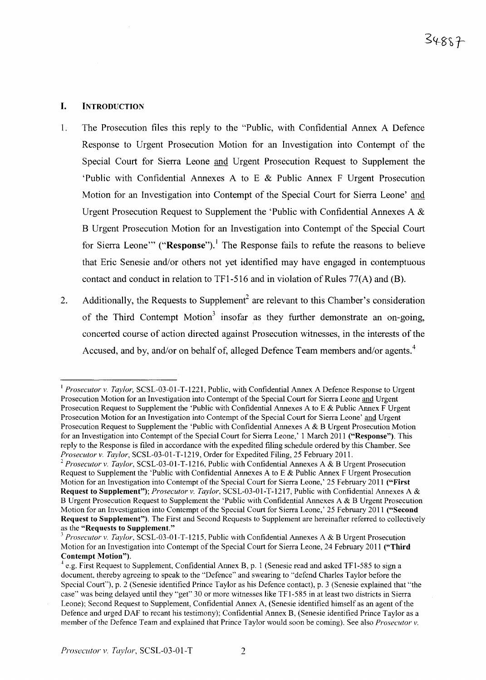## I. INTRODUCTION

- 1. The Prosecution files this reply to the "Public, with Confidential Annex A Defence Response to Urgent Prosecution Motion for an Investigation into Contempt of the Special Court for Sierra Leone and Urgent Prosecution Request to Supplement the 'Public with Confidential Annexes A to E & Public Annex F Urgent Prosecution Motion for an Investigation into Contempt of the Special Court for Sierra Leone' and Urgent Prosecution Request to Supplement the 'Public with Confidential Annexes A & B Urgent Prosecution Motion for an Investigation into Contempt of the Special Court for Sierra Leone'" ("Response").<sup>1</sup> The Response fails to refute the reasons to believe that Eric Senesie and/or others not yet identified may have engaged in contemptuous contact and conduct in relation to  $TF1-516$  and in violation of Rules 77(A) and (B).
- 2. Additionally, the Requests to Supplement<sup>2</sup> are relevant to this Chamber's consideration of the Third Contempt Motion<sup>3</sup> insofar as they further demonstrate an on-going, concerted course of action directed against Prosecution witnesses, in the interests ofthe Accused, and by, and/or on behalf of, alleged Defence Team members and/or agents.<sup>4</sup>

<sup>&</sup>lt;sup>1</sup> *Prosecutor v. Taylor*, SCSL-03-01-T-1221, Public, with Confidential Annex A Defence Response to Urgent Prosecution Motion for an Investigation into Contempt of the Special Court for Sierra Leone and Urgent Prosecution Request to Supplement the 'Public with Confidential Annexes A to E & Public Annex F Urgent Prosecution Motion for an Investigation into Contempt of the Special Court for Sierra Leone' and Urgent Prosecution Request to Supplement the 'Public with Confidential Annexes A & B Urgent Prosecution Motion for an Investigation into Contempt of the Special Court for Sierra Leone,' 1 March 2011 ("Response"). This reply to the Response is filed in accordance with the expedited filing schedule ordered by this Chamber. See *Prosecutor v. Taylor,* SCSL-03-0l-T-12l9, Order for Expedited Filing, 25 February 2011.

<sup>&</sup>lt;sup>2</sup> *Prosecutor v. Taylor*, SCSL-03-01-T-1216, Public with Confidential Annexes A & B Urgent Prosecution Request to Supplement the 'Public with Confidential Annexes A to E & Public Annex F Urgent Prosecution Motion for an Investigation into Contempt of the Special Court for Sierra Leone,' 25 February 2011 ("First Request to Supplement"); *Prosecutor v. Taylor,* SCSL-03-01-T-12l7, Public with Confidential Annexes A & B Urgent Prosecution Request to Supplement the 'Public with Confidential Annexes A & B Urgent Prosecution Motion for an Investigation into Contempt of the Special Court for Sierra Leone,' 25 February 2011 ("Second Request to Supplement"). The First and Second Requests to Supplement are hereinafter referred to collectively as the "Requests to Supplement."

<sup>&</sup>lt;sup>3</sup> Prosecutor *v. Taylor*, SCSL-03-01-T-1215, Public with Confidential Annexes A & B Urgent Prosecution Motion for an Investigation into Contempt of the Special Court for Sierra Leone, 24 February 2011 ("Third Contempt Motion").

<sup>4</sup> e.g. First Request to Supplement, Confidential Annex B, p. 1 (Senesie read and asked TFl-585 to sign a document, thereby agreeing to speak to the "Defence" and swearing to "defend Charles Taylor before the Special Court"), p. 2 (Senesie identified Prince Taylor as his Defence contact), p. 3 (Senesie explained that "the case" was being delayed until they "get" 30 or more witnesses like TFl-585 in at least two districts in Sierra Leone); Second Request to Supplement, Confidential Annex A, (Senesie identified himself as an agent of the Defence and urged DAF to recant his testimony); Confidential Annex B, (Senesie identified Prince Taylor as a member of the Defence Team and explained that Prince Taylor would soon be coming). See also *Prosecutor v.*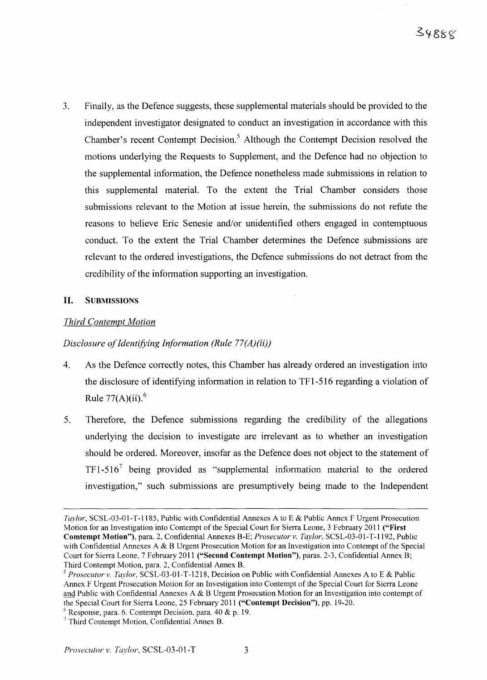3. Finally, as the Defence suggests, these supplemental materials should be provided to the independent investigator designated to conduct an investigation in accordance with this Chamber's recent Contempt Decision.<sup>5</sup> Although the Contempt Decision resolved the motions underlying the Requests to Supplement, and the Defence had no objection to the supplemental information, the Defence nonetheless made submissions in relation to this supplemental material. To the extent the Trial Chamber considers those submissions relevant to the Motion at issue herein, the submissions do not refute the reasons to believe Eric Senesie and/or unidentified others engaged in contemptuous conduct. To the extent the Trial Chamber determines the Defence submissions are relevant to the ordered investigations, the Defence submissions do not detract from the credibility of the information supporting an investigation.

## **II.** SUBMISSIONS

# *Third Contempt Motion*

# *Disclosure ofIdentifying Information (Rule 77(A)(ii))*

- 4. As the Defence correctly notes, this Chamber has already ordered an investigation into the disclosure of identifying information in relation to TF1-516 regarding a violation of Rule  $77(A)(ii)$ .<sup>6</sup>
- 5. Therefore, the Defence submissions regarding the credibility of the allegations underlying the decision to investigate are irrelevant as to whether an investigation should be ordered. Moreover, insofar as the Defence does not object to the statement of  $TF1-516<sup>7</sup>$  being provided as "supplemental information material to the ordered investigation," such submissions are presumptively being made to the Independent

*Taylor*, SCSL-03-01-T-1185, Public with Confidential Annexes A to E & Public Annex F Urgent Prosecution Motion for an Investigation into Contempt of the Special Court for Sierra Leone, 3 February 2011 ("First Comtempt Motion"), para. 2, Confidential Annexes B-E; *Prosecutor v. Taylor,* SCSL-03-01-T-1192, Public with Confidential Annexes A & B Urgent Prosecution Motion for an Investigation into Contempt of the Special Court for Sierra Leone, 7 February 2011 ("Second Contempt Motion"), paras. 2-3, Confidential Annex B; Third Contempt Motion, para. 2, Confidential Annex B.

*<sup>5</sup> Prosecutor* v. *Taylor,* SCSL-03-0l-T-12l8, Decision on Public with Confidential Annexes A to E & Public Annex F Urgent Prosecution Motion for an Investigation into Contempt of the Special Court for Sierra Leone and Public with Confidential Annexes A & B Urgent Prosecution Motion for an Investigation into contempt of the Special Court for Sierra Leone, 25 February 2011 ("Contempt Decision"), pp. 19-20.

 $6$  Response, para. 6. Contempt Decision, para. 40 & p. 19.

<sup>7</sup> Third Contempt Motion, Confidential Annex B.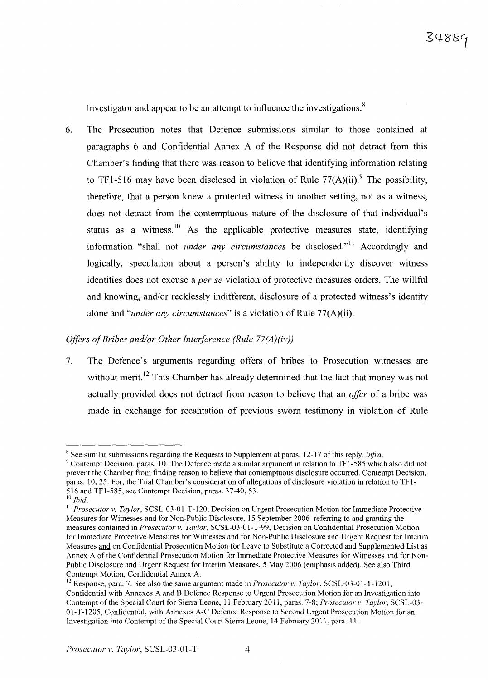Investigator and appear to be an attempt to influence the investigations.<sup>8</sup>

6. The Prosecution notes that Defence submissions similar to those contained at paragraphs 6 and Confidential Annex A of the Response did not detract from this Chamber's finding that there was reason to believe that identifying information relating to TF1-516 may have been disclosed in violation of Rule  $77(A)(ii)$ .<sup>9</sup> The possibility, therefore, that a person knew a protected witness in another setting, not as a witness, does not detract from the contemptuous nature of the disclosure of that individual's status as a witness.<sup>10</sup> As the applicable protective measures state, identifying information "shall not *under any circumstances* be disclosed."!' Accordingly and logically, speculation about a person's ability to independently discover witness identities does not excuse a *per se* violation of protective measures orders. The willful and knowing, and/or recklessly indifferent, disclosure of a protected witness's identity alone and "*under any circumstances*" is a violation of Rule 77(A)(ii).

## *Offers ofBribes and/or Other Interference (Rule 77(A)(iv))*

7. The Defence's arguments regarding offers of bribes to Prosecution witnesses are without merit.<sup>12</sup> This Chamber has already determined that the fact that money was not actually provided does not detract from reason to believe that an *offer* of a bribe was made in exchange for recantation of previous sworn testimony in violation of Rule

<sup>8</sup> See similar submissions regarding the Requests to Supplement at paras. 12-17 of this reply, *infra.*

<sup>&</sup>lt;sup>9</sup> Contempt Decision, paras. 10. The Defence made a similar argument in relation to TF1-585 which also did not prevent the Chamber from finding reason to believe that contemptuous disclosure occurred. Contempt Decision, paras. 10, 25. For, the Trial Chamber's consideration of allegations of disclosure violation in relation to TF 1- 516 and TFI-585, see Contempt Decision, paras. 37-40, 53.

<sup>10</sup> *Ibid.*

<sup>&</sup>lt;sup>11</sup> *Prosecutor v. Taylor*, SCSL-03-01-T-120, Decision on Urgent Prosecution Motion for Immediate Protective Measures for Witnesses and for Non-Public Disclosure, 15 September 2006 referring to and granting the measures contained in *Prosecutor* v. *Taylor,* SCSL-03-0 1-T-99, Decision on Confidential Prosecution Motion for Immediate Protective Measures for Witnesses and for Non-Public Disclosure and Urgent Request for Interim Measures and on Confidential Prosecution Motion for Leave to Substitute a Corrected and Supplemented List as Annex A of the Confidential Prosecution Motion for Immediate Protective Measures for Witnesses and for Non-Public Disclosure and Urgent Request for Interim Measures, 5 May 2006 (emphasis added). See also Third Contempt Motion, Confidential Annex A.

<sup>12</sup> Response, para. 7. See also the same argument made in *Prosecutor* v. *Taylor,* SCSL-03-01-T-1201, Confidential with Annexes A and B Defence Response to Urgent Prosecution Motion for an Investigation into Contempt of the Special Court for Sierra Leone, 11 February 2011, paras. 7-8; *Prosecutor* v. *Taylor,* SCSL-03- 01-T-1205, Confidential, with Annexes A-C Defence Response to Second Urgent Prosecution Motion for an Investigation into Contempt of the Special Court Sierra Leone, 14 February 2011, para. 11..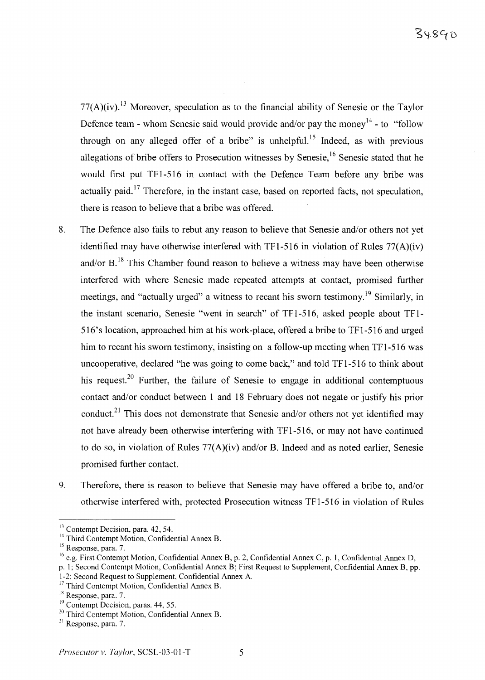$77(A)(iv)$ .<sup>13</sup> Moreover, speculation as to the financial ability of Senesie or the Taylor Defence team - whom Senesie said would provide and/or pay the money<sup>14</sup> - to "follow" through on any alleged offer of a bribe" is unhelpful.<sup>15</sup> Indeed, as with previous allegations of bribe offers to Prosecution witnesses by Senesie.<sup>16</sup> Senesie stated that he would first put TFI-516 in contact with the Defence Team before any bribe was actually paid.<sup>17</sup> Therefore, in the instant case, based on reported facts, not speculation, there is reason to believe that a bribe was offered.

- 8. The Defence also fails to rebut any reason to believe that Senesie and/or others not yet identified may have otherwise interfered with TFI-516 in violation of Rules 77(A)(iv) and/or B.<sup>18</sup> This Chamber found reason to believe a witness may have been otherwise interfered with where Senesie made repeated attempts at contact, promised further meetings, and "actually urged" a witness to recant his sworn testimony.<sup>19</sup> Similarly, in the instant scenario, Senesie "went in search" of TF 1-516, asked people about TF 1- 516's location, approached him at his work-place, offered a bribe to TFI-516 and urged him to recant his sworn testimony, insisting on a follow-up meeting when TFI-516 was uncooperative, declared "he was going to come back," and told TF1-516 to think about his request.<sup>20</sup> Further, the failure of Senesie to engage in additional contemptuous contact and/or conduct between 1 and 18 February does not negate or justify his prior conduct. $21$  This does not demonstrate that Senesie and/or others not yet identified may not have already been otherwise interfering with TF1-516, or may not have continued to do so, in violation of Rules 77(A)(iv) and/or B. Indeed and as noted earlier, Senesie promised further contact.
- 9. Therefore, there is reason to believe that Senesie may have offered a bribe to, and/or otherwise interfered with, protected Prosecution witness TF1-516 in violation of Rules

<sup>&</sup>lt;sup>13</sup> Contempt Decision, para. 42, 54.

<sup>14</sup> Third Contempt Motion, Confidential Annex B.

<sup>15</sup> Response, para. 7.

<sup>16</sup> e.g. First Contempt Motion, Confidential Annex B, p. 2, Confidential Annex C, p. 1, Confidential Annex D,

p. 1; Second Contempt Motion, Confidential Annex B; First Request to Supplement, Confidential Annex B, pp.

<sup>1-2;</sup> Second Request to Supplement, Confidential Annex A.

<sup>&</sup>lt;sup>17</sup> Third Contempt Motion, Confidential Annex B.

<sup>&</sup>lt;sup>18</sup> Response, para. 7.

<sup>&</sup>lt;sup>19</sup> Contempt Decision, paras. 44, 55.

<sup>&</sup>lt;sup>20</sup> Third Contempt Motion, Confidential Annex B.

<sup>21</sup> Response, para. 7.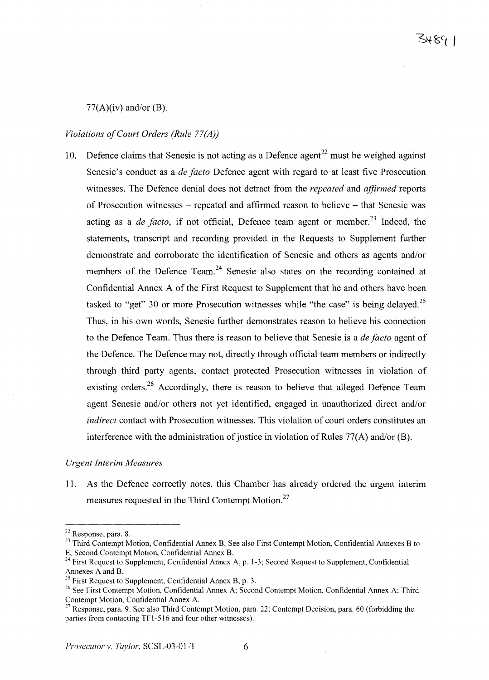### $77(A)(iv)$  and/or (B).

### *Violations ofCourt Orders (Rule 77(A))*

10. Defence claims that Senesie is not acting as a Defence agent<sup>22</sup> must be weighed against Senesie's conduct as a *de facto* Defence agent with regard to at least five Prosecution witnesses. The Defence denial does not detract from the *repeated* and *affirmed* reports of Prosecution witnesses – repeated and affirmed reason to believe – that Senesie was acting as a *de facto*, if not official, Defence team agent or member.<sup>23</sup> Indeed, the statements, transcript and recording provided in the Requests to Supplement further demonstrate and corroborate the identification of Senesie and others as agents and/or members of the Defence Team.<sup>24</sup> Senesie also states on the recording contained at Confidential Annex A of the First Request to Supplement that he and others have been tasked to "get" 30 or more Prosecution witnesses while "the case" is being delayed.<sup>25</sup> Thus, in his own words, Senesie further demonstrates reason to believe his connection to the Defence Team. Thus there is reason to believe that Senesie is a *de facto* agent of the Defence. The Defence may not, directly through official team members or indirectly through third party agents, contact protected Prosecution witnesses in violation of existing orders.<sup>26</sup> Accordingly, there is reason to believe that alleged Defence Team agent Senesie and/or others not yet identified, engaged in unauthorized direct and/or *indirect* contact with Prosecution witnesses. This violation of court orders constitutes an interference with the administration of justice in violation of Rules  $77(A)$  and/or (B).

#### *Urgent Interim Measures*

11. As the Defence correctly notes, this Chamber has already ordered the urgent interim measures requested in the Third Contempt Motion. $27$ 

<sup>22</sup> Response, para. 8.

<sup>&</sup>lt;sup>23</sup> Third Contempt Motion, Confidential Annex B. See also First Contempt Motion, Confidential Annexes B to E; Second Contempt Motion, Confidential Annex B.

 $^{24}$  First Request to Supplement, Confidential Annex A, p. 1-3; Second Request to Supplement, Confidential Annexes A and B.

<sup>&</sup>lt;sup>25</sup> First Request to Supplement, Confidential Annex B, p. 3.

<sup>&</sup>lt;sup>26</sup> See First Contempt Motion, Confidential Annex A; Second Contempt Motion, Confidential Annex A; Third Contempt Motion, Confidential Annex A.

n Response, para. 9. See also Third Contempt Motion, para. 22; Contempt Decision, para. 60 (forbidding the parties from contacting TFI-516 and four other witnesses).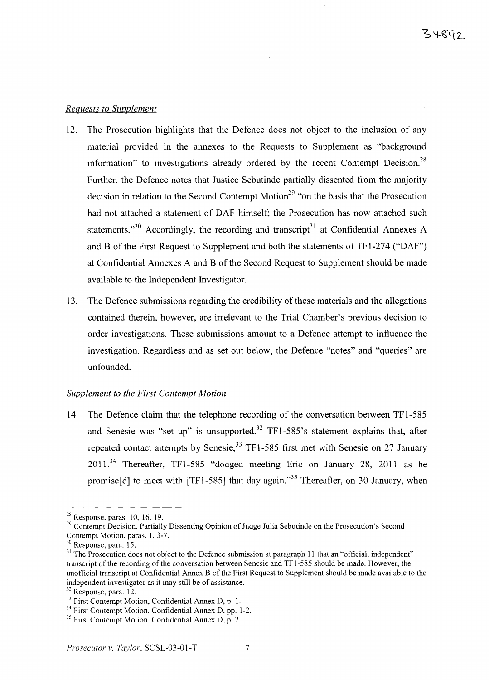## *Requests to Supplement*

- 12. The Prosecution highlights that the Defence does not object to the inclusion of any material provided in the annexes to the Requests to Supplement as "background information" to investigations already ordered by the recent Contempt Decision.<sup>28</sup> Further, the Defence notes that Justice Sebutinde partially dissented from the majority decision in relation to the Second Contempt Motion<sup>29</sup> "on the basis that the Prosecution had not attached a statement of DAF himself; the Prosecution has now attached such statements.<sup>30</sup> Accordingly, the recording and transcript<sup>31</sup> at Confidential Annexes A and B of the First Request to Supplement and both the statements of TF1-274 ("DAF") at Confidential Annexes A and B of the Second Request to Supplement should be made available to the Independent Investigator.
- 13. The Defence submissions regarding the credibility of these materials and the allegations contained therein, however, are irrelevant to the Trial Chamber's previous decision to order investigations. These submissions amount to a Defence attempt to influence the investigation. Regardless and as set out below, the Defence "notes" and "queries" are unfounded.

## *Supplement to the First Contempt Motion*

14. The Defence claim that the telephone recording of the conversation between TFI-585 and Senesie was "set up" is unsupported.<sup>32</sup> TF1-585's statement explains that, after repeated contact attempts by Senesie,<sup>33</sup> TF1-585 first met with Senesie on 27 January 2011.<sup>34</sup> Thereafter, TFl-585 "dodged meeting Eric on January 28, 2011 as he promise[d] to meet with  $[TF1-585]$  that day again.<sup>35</sup> Thereafter, on 30 January, when

 $28$  Response, paras. 10, 16, 19.

<sup>&</sup>lt;sup>29</sup> Contempt Decision, Partially Dissenting Opinion of Judge Julia Sebutinde on the Prosecution's Second Contempt Motion, paras. 1, 3-7.

 $30$  Response, para. 15.

<sup>&</sup>lt;sup>31</sup> The Prosecution does not object to the Defence submission at paragraph 11 that an "official, independent" transcript of the recording of the conversation between Senesie and TFI-585 should be made. However, the unofficial transcript at Confidential Annex B of the First Request to Supplement should be made available to the independent investigator as it may still be of assistance.

 $32$  Response, para. 12.

<sup>&</sup>lt;sup>33</sup> First Contempt Motion, Confidential Annex D, p. 1.

 $34$  First Contempt Motion, Confidential Annex D, pp. 1-2.

 $35$  First Contempt Motion, Confidential Annex D, p. 2.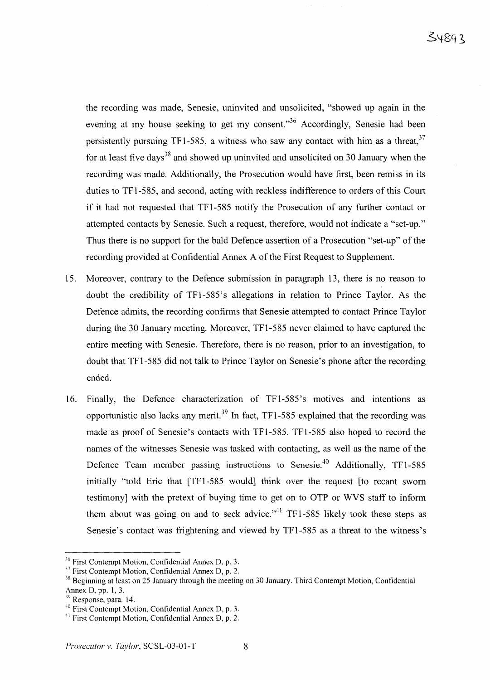the recording was made, Senesie, uninvited and unsolicited, "showed up again in the evening at my house seeking to get my consent. $1.36$  Accordingly, Senesie had been persistently pursuing TF1-585, a witness who saw any contact with him as a threat,  $37$ for at least five days<sup>38</sup> and showed up uninvited and unsolicited on 30 January when the recording was made. Additionally, the Prosecution would have first, been remiss in its duties to TFl-585, and second, acting with reckless indifference to orders of this Court if it had not requested that TFl-585 notify the Prosecution of any further contact or attempted contacts by Senesie. Such a request, therefore, would not indicate a "set-up." Thus there is no support for the bald Defence assertion of a Prosecution "set-up" of the recording provided at Confidential Annex A of the First Request to Supplement.

- 15. Moreover, contrary to the Defence submission in paragraph 13, there is no reason to doubt the credibility of TFl-585's allegations in relation to Prince Taylor. As the Defence admits, the recording confirms that Senesie attempted to contact Prince Taylor during the 30 January meeting. Moreover, TFl-585 never claimed to have captured the entire meeting with Senesie. Therefore, there is no reason, prior to an investigation, to doubt that TFl-585 did not talk to Prince Taylor on Senesie's phone after the recording ended.
- 16. Finally, the Defence characterization of TFl-585's motives and intentions as opportunistic also lacks any merit.<sup>39</sup> In fact, TF1-585 explained that the recording was made as proof of Senesie's contacts with TFl-585. TFl-585 also hoped to record the names of the witnesses Senesie was tasked with contacting, as well as the name of the Defence Team member passing instructions to Senesie.<sup>40</sup> Additionally, TF1-585 initially "told Eric that [TFl-585 would] think over the request [to recant sworn testimony] with the pretext of buying time to get on to OTP or WVS staff to inform them about was going on and to seek advice."<sup>41</sup> TF1-585 likely took these steps as Senesie's contact was frightening and viewed by TFl-585 as a threat to the witness's

<sup>&</sup>lt;sup>36</sup> First Contempt Motion, Confidential Annex D, p. 3.

<sup>&</sup>lt;sup>37</sup> First Contempt Motion, Confidential Annex D, p. 2.

<sup>&</sup>lt;sup>38</sup> Beginning at least on 25 January through the meeting on 30 January. Third Contempt Motion, Confidential Annex D, pp. 1, 3.

Response, para. 14.

<sup>40</sup> First Contempt Motion, Confidential Annex D, p. 3.

<sup>41</sup> First Contempt Motion, Confidential Annex D, p. 2.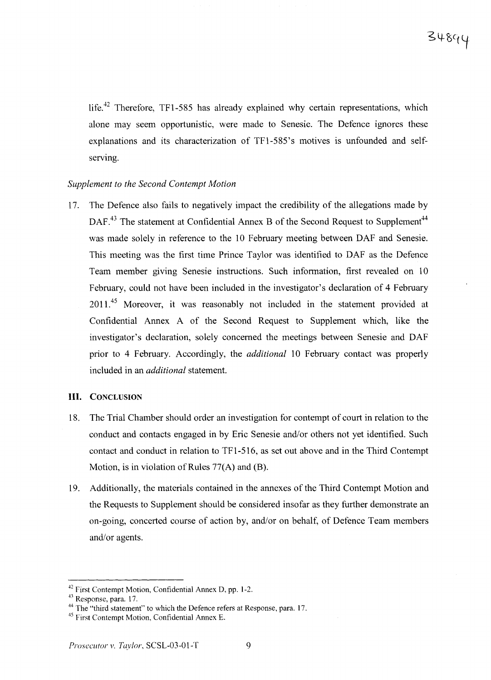life.<sup>42</sup> Therefore, TF1-585 has already explained why certain representations, which alone may seem opportunistic, were made to Senesie. The Defence ignores these explanations and its characterization of TFl-585's motives is unfounded and selfserving.

### *Supplement to the Second Contempt Motion*

17. The Defence also fails to negatively impact the credibility of the allegations made by DAF<sup>43</sup> The statement at Confidential Annex B of the Second Request to Supplement<sup>44</sup> was made solely in reference to the 10 February meeting between DAF and Senesie. This meeting was the first time Prince Taylor was identified to DAF as the Defence Team member giving Senesie instructions. Such information, first revealed on 10 February, could not have been included in the investigator's declaration of 4 February 2011.<sup>45</sup> Moreover, it was reasonably not included in the statement provided at Confidential Annex A of the Second Request to Supplement which, like the investigator's declaration, solely concerned the meetings between Senesie and DAF prior to 4 February. Accordingly, the *additional* 10 February contact was properly included in an *additional* statement.

### **III. CONCLUSION**

- 18. The Trial Chamber should order an investigation for contempt of court in relation to the conduct and contacts engaged in by Eric Senesie and/or others not yet identified. Such contact and conduct in relation to TF 1-516, as set out above and in the Third Contempt Motion, is in violation of Rules  $77(A)$  and (B).
- 19. Additionally, the materials contained in the annexes of the Third Contempt Motion and the Requests to Supplement should be considered insofar as they further demonstrate an on-going, concerted course of action by, and/or on behalf, of Defence Team members and/or agents.

<sup>&</sup>lt;sup>42</sup> First Contempt Motion, Confidential Annex D, pp. 1-2.

<sup>&</sup>lt;sup>43</sup> Response, para. 17.

<sup>&</sup>lt;sup>44</sup> The "third statement" to which the Defence refers at Response, para. 17.

<sup>&</sup>lt;sup>45</sup> First Contempt Motion, Confidential Annex E.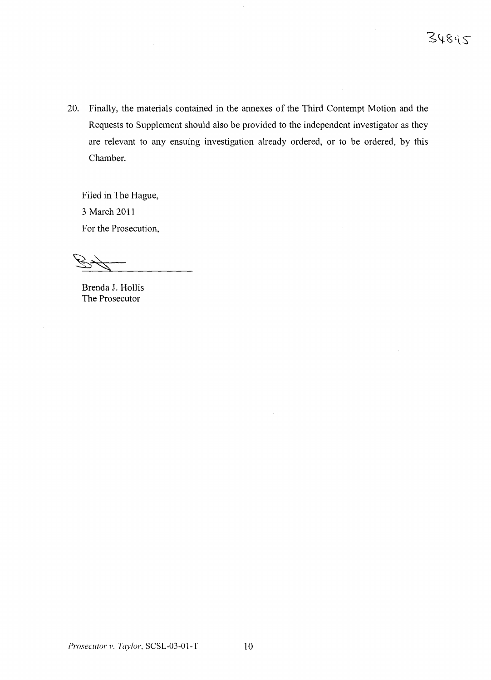20. Finally, the materials contained in the annexes of the Third Contempt Motion and the Requests to Supplement should also be provided to the independent investigator as they are relevant to any ensuing investigation already ordered, or to be ordered, by this Chamber.

Filed in The Hague, 3 March 2011 For the Prosecution,

Brenda J. Hollis The Prosecutor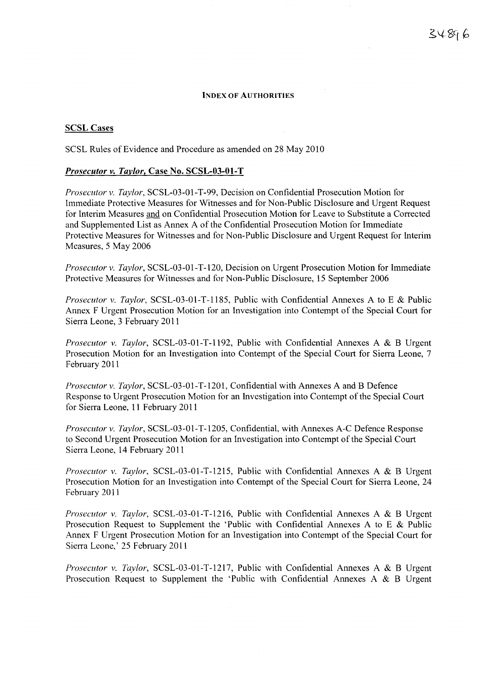#### INDEX OF AUTHORITIES

#### SCSL Cases

SCSL Rules of Evidence and Procedure as amended on 28 May 2010

#### *Prosecutor* v. *Taylor,* Case No. SCSL-03-01-T

*Prosecutor* v. *Taylor,* SCSL-03-01-T-99, Decision on Confidential Prosecution Motion for Immediate Protective Measures for Witnesses and for Non-Public Disclosure and Urgent Request for Interim Measures and on Confidential Prosecution Motion for Leave to Substitute a Corrected and Supplemented List as Annex A of the Confidential Prosecution Motion for Immediate Protective Measures for Witnesses and for Non-Public Disclosure and Urgent Request for Interim Measures, 5 May 2006

*Prosecutor* v. *Taylor,* SCSL-03-01-T-120, Decision on Urgent Prosecution Motion for Immediate Protective Measures for Witnesses and for Non-Public Disclosure, 15 September 2006

*Prosecutor* v. *Taylor,* SCSL-03-01-T-1185, Public with Confidential Annexes A to E & Public Annex F Urgent Prosecution Motion for an Investigation into Contempt of the Special Court for Sierra Leone, 3 February 2011

*Prosecutor* v. *Taylor,* SCSL-03-01-T-1192, Public with Confidential Annexes A & B Urgent Prosecution Motion for an Investigation into Contempt of the Special Court for Sierra Leone, 7 February 2011

*Prosecutor* v. *Taylor,* SCSL-03-01-T-1201, Confidential with Annexes A and B Defence Response to Urgent Prosecution Motion for an Investigation into Contempt of the Special Court for Sierra Leone, 11 February 2011

*Prosecutor* v. *Taylor,* SCSL-03-01-T-1205, Confidential, with Annexes A-C Defence Response to Second Urgent Prosecution Motion for an Investigation into Contempt of the Special Court Sierra Leone, 14 February 2011

*Prosecutor* v. *Taylor,* SCSL-03-01-T-1215, Public with Confidential Annexes A & B Urgent Prosecution Motion for an Investigation into Contempt of the Special Court for Sierra Leone, 24 February 2011

*Prosecutor* v. *Taylor,* SCSL-03-01-T-1216, Public with Confidential Annexes A & B Urgent Prosecution Request to Supplement the 'Public with Confidential Annexes A to E & Public Annex F Urgent Prosecution Motion for an Investigation into Contempt of the Special Court for Sierra Leone,' 25 February 2011

*Prosecutor* v. *Taylor,* SCSL-03-01-T-1217, Public with Confidential Annexes A & B Urgent Prosecution Request to Supplement the 'Public with Confidential Annexes A & B Urgent